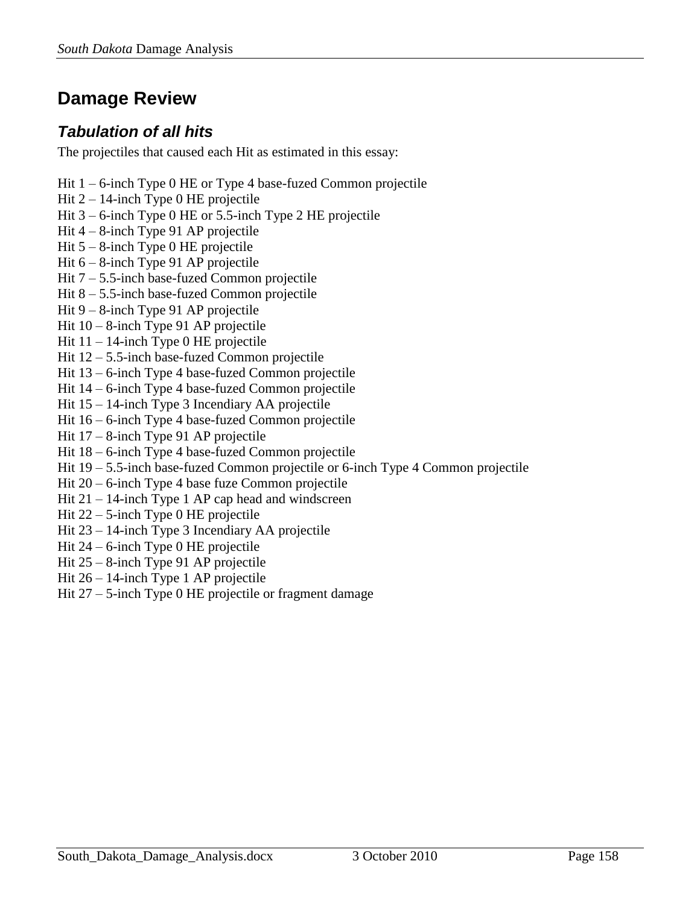# **Damage Review**

# *Tabulation of all hits*

The projectiles that caused each Hit as estimated in this essay:

- Hit 1 6-inch Type 0 HE or Type 4 base-fuzed Common projectile
- Hit 2 14-inch Type 0 HE projectile
- Hit 3 6-inch Type 0 HE or 5.5-inch Type 2 HE projectile
- Hit 4 8-inch Type 91 AP projectile
- Hit 5 8-inch Type 0 HE projectile
- Hit 6 8-inch Type 91 AP projectile
- Hit 7 5.5-inch base-fuzed Common projectile
- Hit 8 5.5-inch base-fuzed Common projectile
- Hit 9 8-inch Type 91 AP projectile
- Hit 10 8-inch Type 91 AP projectile
- Hit  $11 14$ -inch Type 0 HE projectile
- Hit 12 5.5-inch base-fuzed Common projectile
- Hit 13 6-inch Type 4 base-fuzed Common projectile
- Hit 14 6-inch Type 4 base-fuzed Common projectile
- Hit 15 14-inch Type 3 Incendiary AA projectile
- Hit 16 6-inch Type 4 base-fuzed Common projectile
- Hit 17 8-inch Type 91 AP projectile
- Hit 18 6-inch Type 4 base-fuzed Common projectile
- Hit 19 5.5-inch base-fuzed Common projectile or 6-inch Type 4 Common projectile
- Hit 20 6-inch Type 4 base fuze Common projectile
- Hit 21 14-inch Type 1 AP cap head and windscreen
- Hit 22 5-inch Type 0 HE projectile
- Hit 23 14-inch Type 3 Incendiary AA projectile
- Hit 24 6-inch Type 0 HE projectile
- Hit 25 8-inch Type 91 AP projectile
- Hit 26 14-inch Type 1 AP projectile
- Hit 27 5-inch Type 0 HE projectile or fragment damage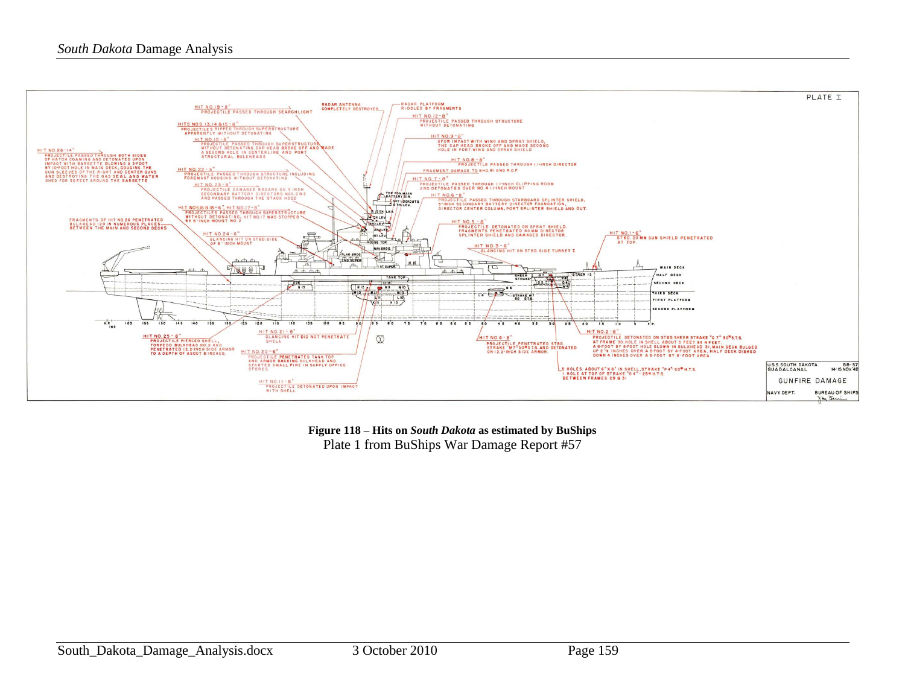

**Figure 118 – Hits on** *South Dakota* **as estimated by BuShips** Plate 1 from BuShips War Damage Report #57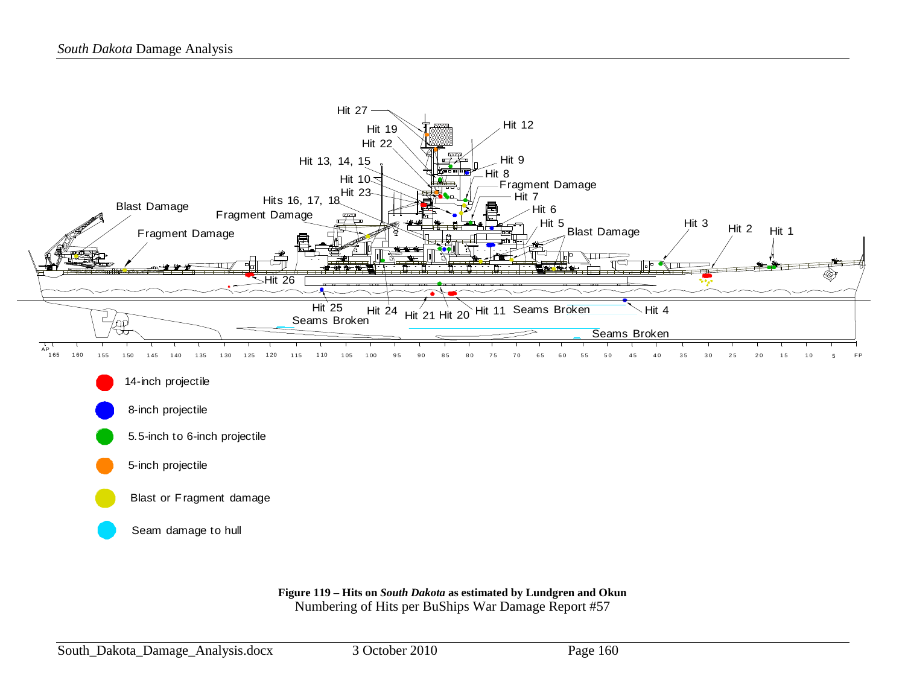

**Figure 119 – Hits on** *South Dakota* **as estimated by Lundgren and Okun** Numbering of Hits per BuShips War Damage Report #57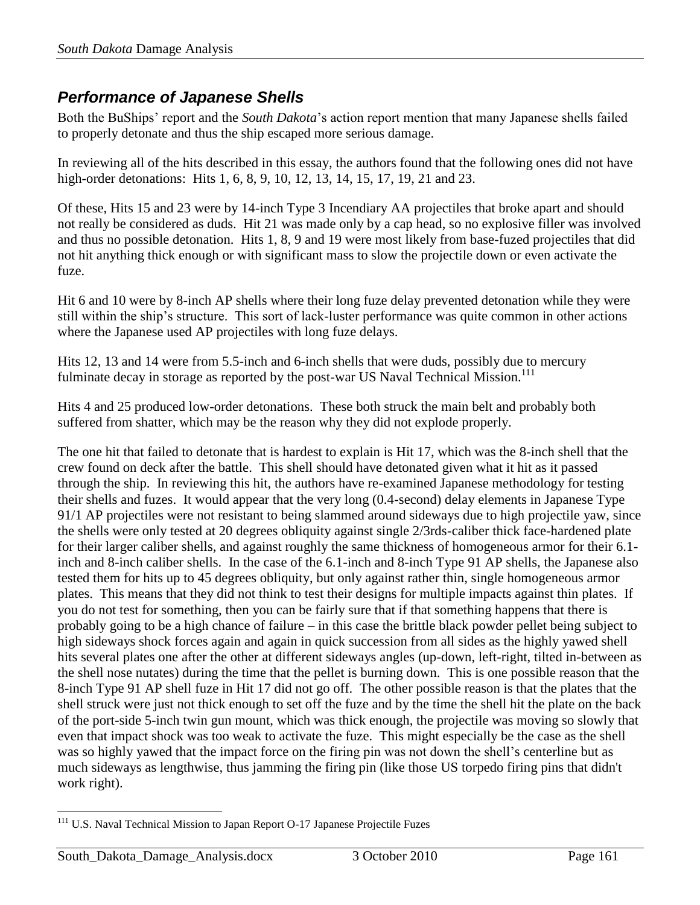# *Performance of Japanese Shells*

Both the BuShips' report and the *South Dakota*'s action report mention that many Japanese shells failed to properly detonate and thus the ship escaped more serious damage.

In reviewing all of the hits described in this essay, the authors found that the following ones did not have high-order detonations: Hits 1, 6, 8, 9, 10, 12, 13, 14, 15, 17, 19, 21 and 23.

Of these, Hits 15 and 23 were by 14-inch Type 3 Incendiary AA projectiles that broke apart and should not really be considered as duds. Hit 21 was made only by a cap head, so no explosive filler was involved and thus no possible detonation. Hits 1, 8, 9 and 19 were most likely from base-fuzed projectiles that did not hit anything thick enough or with significant mass to slow the projectile down or even activate the fuze.

Hit 6 and 10 were by 8-inch AP shells where their long fuze delay prevented detonation while they were still within the ship's structure. This sort of lack-luster performance was quite common in other actions where the Japanese used AP projectiles with long fuze delays.

Hits 12, 13 and 14 were from 5.5-inch and 6-inch shells that were duds, possibly due to mercury fulminate decay in storage as reported by the post-war US Naval Technical Mission.<sup>111</sup>

Hits 4 and 25 produced low-order detonations. These both struck the main belt and probably both suffered from shatter, which may be the reason why they did not explode properly.

The one hit that failed to detonate that is hardest to explain is Hit 17, which was the 8-inch shell that the crew found on deck after the battle. This shell should have detonated given what it hit as it passed through the ship. In reviewing this hit, the authors have re-examined Japanese methodology for testing their shells and fuzes. It would appear that the very long (0.4-second) delay elements in Japanese Type 91/1 AP projectiles were not resistant to being slammed around sideways due to high projectile yaw, since the shells were only tested at 20 degrees obliquity against single 2/3rds-caliber thick face-hardened plate for their larger caliber shells, and against roughly the same thickness of homogeneous armor for their 6.1 inch and 8-inch caliber shells. In the case of the 6.1-inch and 8-inch Type 91 AP shells, the Japanese also tested them for hits up to 45 degrees obliquity, but only against rather thin, single homogeneous armor plates. This means that they did not think to test their designs for multiple impacts against thin plates. If you do not test for something, then you can be fairly sure that if that something happens that there is probably going to be a high chance of failure – in this case the brittle black powder pellet being subject to high sideways shock forces again and again in quick succession from all sides as the highly yawed shell hits several plates one after the other at different sideways angles (up-down, left-right, tilted in-between as the shell nose nutates) during the time that the pellet is burning down. This is one possible reason that the 8-inch Type 91 AP shell fuze in Hit 17 did not go off. The other possible reason is that the plates that the shell struck were just not thick enough to set off the fuze and by the time the shell hit the plate on the back of the port-side 5-inch twin gun mount, which was thick enough, the projectile was moving so slowly that even that impact shock was too weak to activate the fuze. This might especially be the case as the shell was so highly yawed that the impact force on the firing pin was not down the shell's centerline but as much sideways as lengthwise, thus jamming the firing pin (like those US torpedo firing pins that didn't work right).

 $\overline{a}$ <sup>111</sup> U.S. Naval Technical Mission to Japan Report O-17 Japanese Projectile Fuzes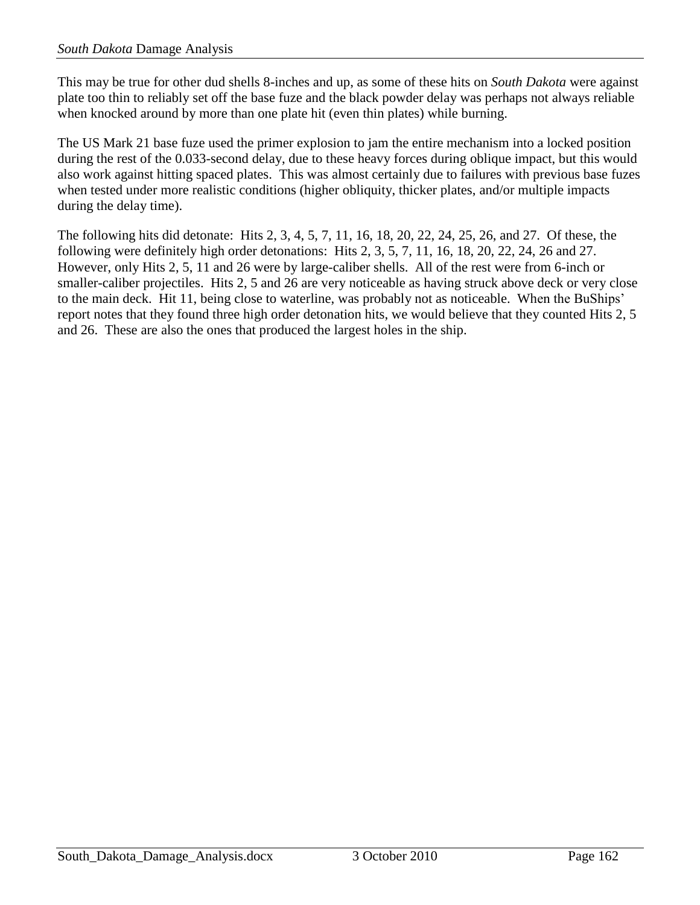This may be true for other dud shells 8-inches and up, as some of these hits on *South Dakota* were against plate too thin to reliably set off the base fuze and the black powder delay was perhaps not always reliable when knocked around by more than one plate hit (even thin plates) while burning.

The US Mark 21 base fuze used the primer explosion to jam the entire mechanism into a locked position during the rest of the 0.033-second delay, due to these heavy forces during oblique impact, but this would also work against hitting spaced plates. This was almost certainly due to failures with previous base fuzes when tested under more realistic conditions (higher obliquity, thicker plates, and/or multiple impacts during the delay time).

The following hits did detonate: Hits 2, 3, 4, 5, 7, 11, 16, 18, 20, 22, 24, 25, 26, and 27. Of these, the following were definitely high order detonations: Hits 2, 3, 5, 7, 11, 16, 18, 20, 22, 24, 26 and 27. However, only Hits 2, 5, 11 and 26 were by large-caliber shells. All of the rest were from 6-inch or smaller-caliber projectiles. Hits 2, 5 and 26 are very noticeable as having struck above deck or very close to the main deck. Hit 11, being close to waterline, was probably not as noticeable. When the BuShips' report notes that they found three high order detonation hits, we would believe that they counted Hits 2, 5 and 26. These are also the ones that produced the largest holes in the ship.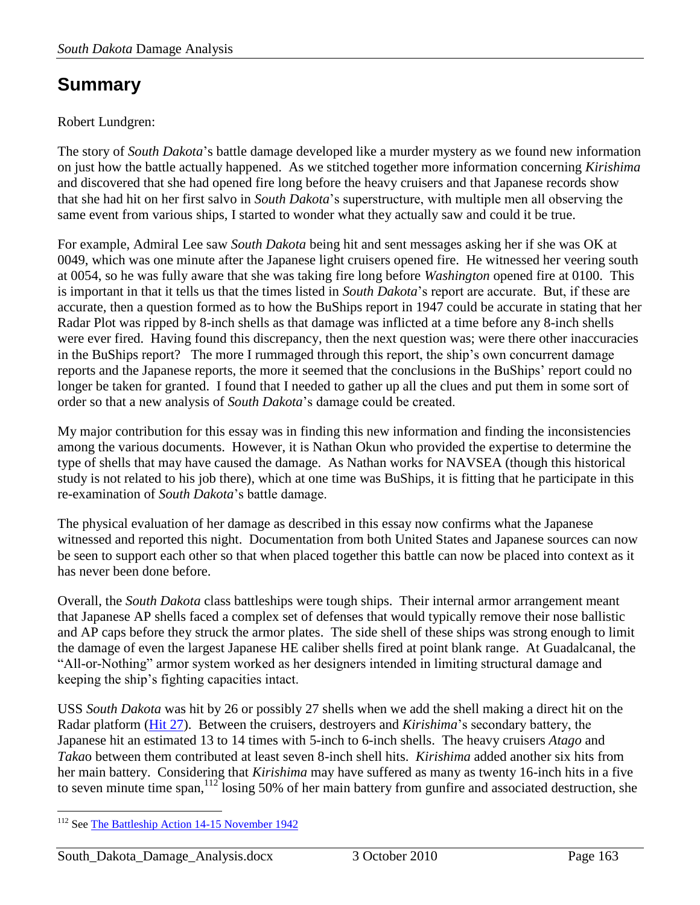# **Summary**

## Robert Lundgren:

The story of *South Dakota*'s battle damage developed like a murder mystery as we found new information on just how the battle actually happened. As we stitched together more information concerning *Kirishima* and discovered that she had opened fire long before the heavy cruisers and that Japanese records show that she had hit on her first salvo in *South Dakota*'s superstructure, with multiple men all observing the same event from various ships, I started to wonder what they actually saw and could it be true.

For example, Admiral Lee saw *South Dakota* being hit and sent messages asking her if she was OK at 0049, which was one minute after the Japanese light cruisers opened fire. He witnessed her veering south at 0054, so he was fully aware that she was taking fire long before *Washington* opened fire at 0100. This is important in that it tells us that the times listed in *South Dakota*'s report are accurate. But, if these are accurate, then a question formed as to how the BuShips report in 1947 could be accurate in stating that her Radar Plot was ripped by 8-inch shells as that damage was inflicted at a time before any 8-inch shells were ever fired. Having found this discrepancy, then the next question was; were there other inaccuracies in the BuShips report? The more I rummaged through this report, the ship's own concurrent damage reports and the Japanese reports, the more it seemed that the conclusions in the BuShips' report could no longer be taken for granted. I found that I needed to gather up all the clues and put them in some sort of order so that a new analysis of *South Dakota*'s damage could be created.

My major contribution for this essay was in finding this new information and finding the inconsistencies among the various documents. However, it is Nathan Okun who provided the expertise to determine the type of shells that may have caused the damage. As Nathan works for NAVSEA (though this historical study is not related to his job there), which at one time was BuShips, it is fitting that he participate in this re-examination of *South Dakota*'s battle damage.

The physical evaluation of her damage as described in this essay now confirms what the Japanese witnessed and reported this night. Documentation from both United States and Japanese sources can now be seen to support each other so that when placed together this battle can now be placed into context as it has never been done before.

Overall, the *South Dakota* class battleships were tough ships. Their internal armor arrangement meant that Japanese AP shells faced a complex set of defenses that would typically remove their nose ballistic and AP caps before they struck the armor plates. The side shell of these ships was strong enough to limit the damage of even the largest Japanese HE caliber shells fired at point blank range. At Guadalcanal, the "All-or-Nothing" armor system worked as her designers intended in limiting structural damage and keeping the ship's fighting capacities intact.

USS *South Dakota* was hit by 26 or possibly 27 shells when we add the shell making a direct hit on the Radar platform (Hit 27). Between the cruisers, destroyers and *Kirishima*'s secondary battery, the Japanese hit an estimated 13 to 14 times with 5-inch to 6-inch shells. The heavy cruisers *Atago* and *Taka*o between them contributed at least seven 8-inch shell hits. *Kirishima* added another six hits from her main battery. Considering that *Kirishima* may have suffered as many as twenty 16-inch hits in a five to seven minute time span,<sup>112</sup> losing 50% of her main battery from gunfire and associated destruction, she

 $\overline{a}$ <sup>112</sup> See [The Battleship Action 14-15 November 1942](http://www.navweaps.com/index_lundgren/Battleship_Action_Guadalcanal.pdf)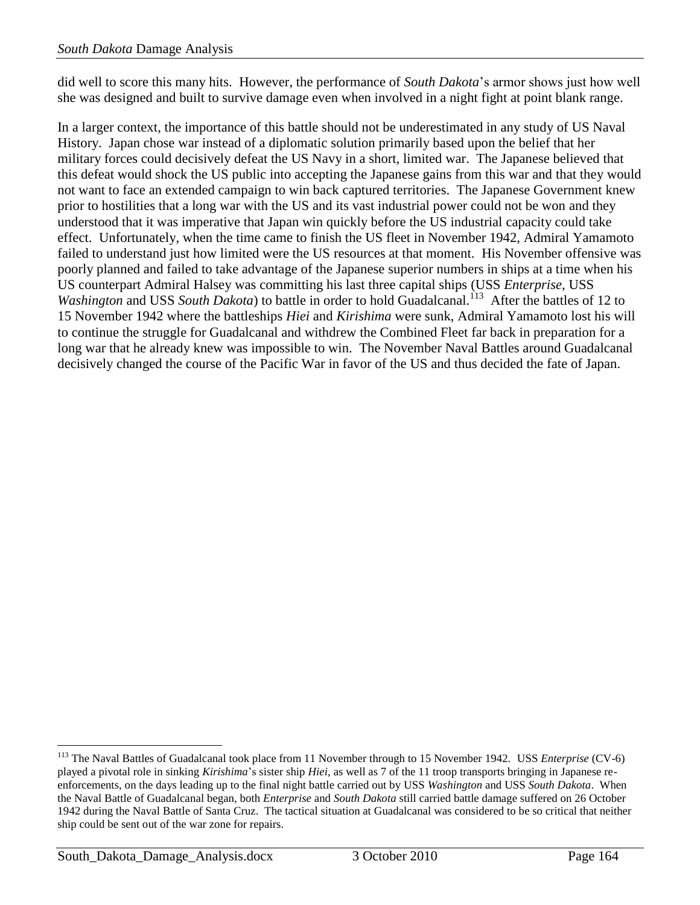did well to score this many hits. However, the performance of *South Dakota*'s armor shows just how well she was designed and built to survive damage even when involved in a night fight at point blank range.

In a larger context, the importance of this battle should not be underestimated in any study of US Naval History. Japan chose war instead of a diplomatic solution primarily based upon the belief that her military forces could decisively defeat the US Navy in a short, limited war. The Japanese believed that this defeat would shock the US public into accepting the Japanese gains from this war and that they would not want to face an extended campaign to win back captured territories. The Japanese Government knew prior to hostilities that a long war with the US and its vast industrial power could not be won and they understood that it was imperative that Japan win quickly before the US industrial capacity could take effect. Unfortunately, when the time came to finish the US fleet in November 1942, Admiral Yamamoto failed to understand just how limited were the US resources at that moment. His November offensive was poorly planned and failed to take advantage of the Japanese superior numbers in ships at a time when his US counterpart Admiral Halsey was committing his last three capital ships (USS *Enterprise,* USS Washington and USS South Dakota) to battle in order to hold Guadalcanal.<sup>113</sup> After the battles of 12 to 15 November 1942 where the battleships *Hiei* and *Kirishima* were sunk, Admiral Yamamoto lost his will to continue the struggle for Guadalcanal and withdrew the Combined Fleet far back in preparation for a long war that he already knew was impossible to win. The November Naval Battles around Guadalcanal decisively changed the course of the Pacific War in favor of the US and thus decided the fate of Japan.

 $\overline{a}$ 

<sup>&</sup>lt;sup>113</sup> The Naval Battles of Guadalcanal took place from 11 November through to 15 November 1942. USS *Enterprise* (CV-6) played a pivotal role in sinking *Kirishima*'s sister ship *Hiei,* as well as 7 of the 11 troop transports bringing in Japanese reenforcements, on the days leading up to the final night battle carried out by USS *Washington* and USS *South Dakota*. When the Naval Battle of Guadalcanal began, both *Enterprise* and *South Dakota* still carried battle damage suffered on 26 October 1942 during the Naval Battle of Santa Cruz. The tactical situation at Guadalcanal was considered to be so critical that neither ship could be sent out of the war zone for repairs.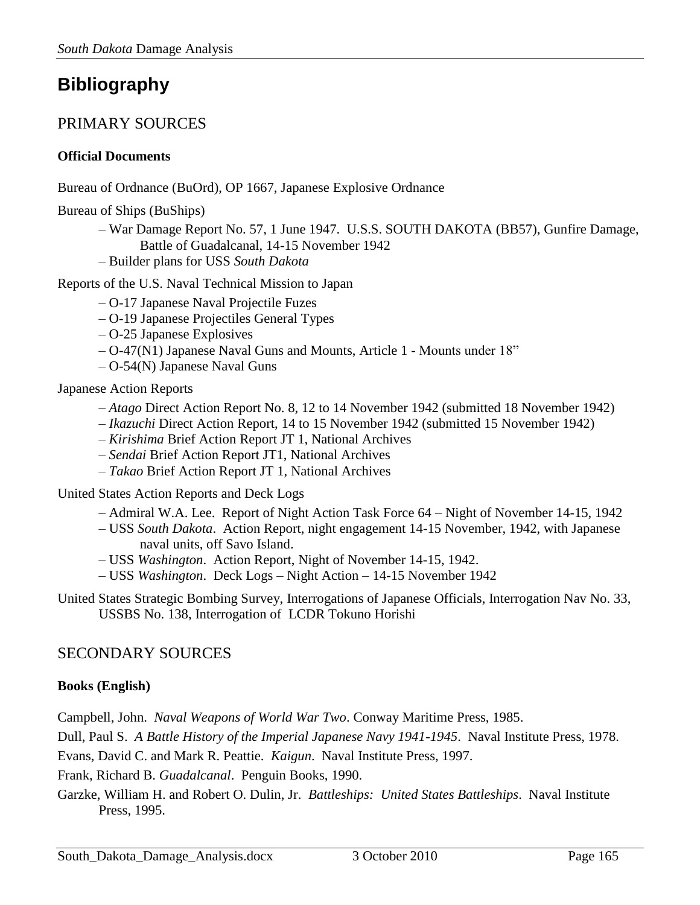# **Bibliography**

# PRIMARY SOURCES

### **Official Documents**

Bureau of Ordnance (BuOrd), OP 1667, Japanese Explosive Ordnance

Bureau of Ships (BuShips)

- War Damage Report No. 57, 1 June 1947. U.S.S. SOUTH DAKOTA (BB57), Gunfire Damage, Battle of Guadalcanal, 14-15 November 1942
- Builder plans for USS *South Dakota*

Reports of the U.S. Naval Technical Mission to Japan

- O-17 Japanese Naval Projectile Fuzes
- O-19 Japanese Projectiles General Types
- O-25 Japanese Explosives
- O-47(N1) Japanese Naval Guns and Mounts, Article 1 Mounts under 18"
- O-54(N) Japanese Naval Guns

Japanese Action Reports

- *Atago* Direct Action Report No. 8, 12 to 14 November 1942 (submitted 18 November 1942)
- *Ikazuchi* Direct Action Report, 14 to 15 November 1942 (submitted 15 November 1942)
- *Kirishima* Brief Action Report JT 1, National Archives
- *Sendai* Brief Action Report JT1, National Archives
- *Takao* Brief Action Report JT 1, National Archives

United States Action Reports and Deck Logs

- Admiral W.A. Lee. Report of Night Action Task Force 64 Night of November 14-15, 1942
- USS *South Dakota*. Action Report, night engagement 14-15 November, 1942, with Japanese naval units, off Savo Island.
- USS *Washington*. Action Report, Night of November 14-15, 1942.
- USS *Washington*. Deck Logs Night Action 14-15 November 1942

United States Strategic Bombing Survey, Interrogations of Japanese Officials, Interrogation Nav No. 33, USSBS No. 138, Interrogation of [LCDR Tokuno Horishi](http://www.ibiblio.org/hyperwar/AAF/USSBS/IJO/IJO-Bio.html#tokuno)

# SECONDARY SOURCES

## **Books (English)**

Campbell, John. *Naval Weapons of World War Two*. Conway Maritime Press, 1985.

Dull, Paul S. *A Battle History of the Imperial Japanese Navy 1941-1945*. Naval Institute Press, 1978.

Evans, David C. and Mark R. Peattie. *Kaigun*. Naval Institute Press, 1997.

Frank, Richard B. *Guadalcanal*. Penguin Books, 1990.

Garzke, William H. and Robert O. Dulin, Jr. *Battleships: United States Battleships*. Naval Institute Press, 1995.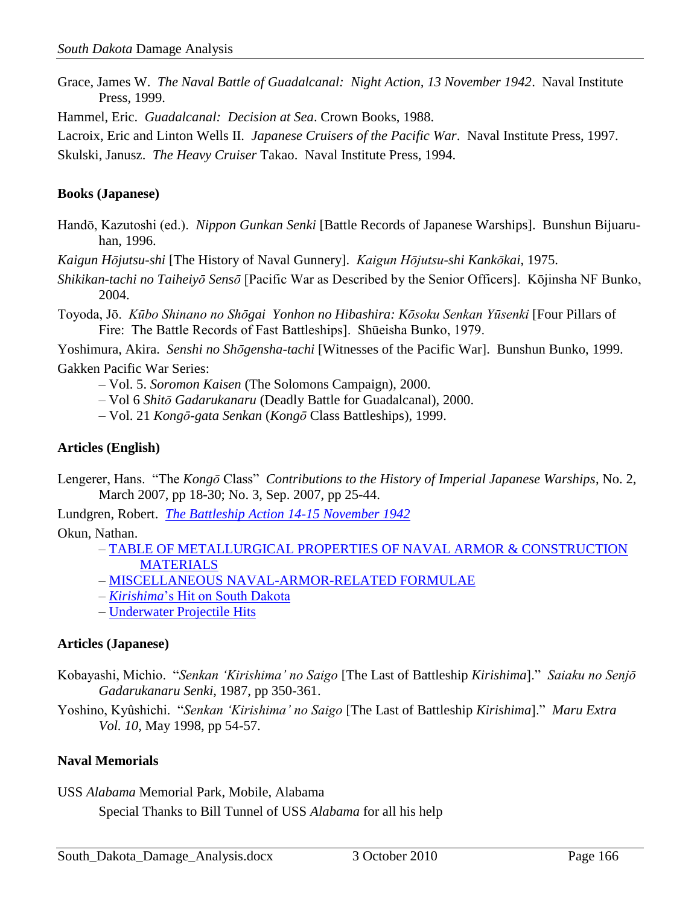Grace, James W. *The Naval Battle of Guadalcanal: Night Action, 13 November 1942*. Naval Institute Press, 1999.

Hammel, Eric. *Guadalcanal: Decision at Sea*. Crown Books, 1988.

Lacroix, Eric and Linton Wells II. *Japanese Cruisers of the Pacific War*. Naval Institute Press, 1997.

Skulski, Janusz. *The Heavy Cruiser* Takao. Naval Institute Press, 1994.

#### **Books (Japanese)**

Handō, Kazutoshi (ed.). *Nippon Gunkan Senki* [Battle Records of Japanese Warships]. Bunshun Bijuaruhan, 1996.

*Kaigun Hōjutsu-shi* [The History of Naval Gunnery]. *Kaigun Hōjutsu-shi Kankōkai*, 1975.

- *Shikikan-tachi no Taiheiyō Sensō* [Pacific War as Described by the Senior Officers]. Kōjinsha NF Bunko, 2004.
- Toyoda, Jō. *Kūbo Shinano no Shōgai Yonhon no Hibashira: Kōsoku Senkan Yūsenki* [Four Pillars of Fire: The Battle Records of Fast Battleships]. Shūeisha Bunko, 1979.

Yoshimura, Akira. *Senshi no Shōgensha-tachi* [Witnesses of the Pacific War]. Bunshun Bunko, 1999. Gakken Pacific War Series:

– Vol. 5. *Soromon Kaisen* (The Solomons Campaign), 2000.

– Vol 6 *Shitō Gadarukanaru* (Deadly Battle for Guadalcanal), 2000.

– Vol. 21 *Kongō-gata Senkan* (*Kongō* Class Battleships), 1999.

### **Articles (English)**

Lengerer, Hans. "The *Kongō* Class" *Contributions to the History of Imperial Japanese Warships*, No. 2, March 2007, pp 18-30; No. 3, Sep. 2007, pp 25-44.

Lundgren, Robert. *[The Battleship Action 14-15 November 1942](http://www.navweaps.com/index_lundgren/Battleship_Action_Guadalcanal.pdf)*

Okun, Nathan.

- [TABLE OF METALLURGICAL PROPERTIES OF NAVAL ARMOR & CONSTRUCTION](http://www.navweaps.com/index_nathan/metalprpsept2009.htm)  [MATERIALS](http://www.navweaps.com/index_nathan/metalprpsept2009.htm)
- [MISCELLANEOUS NAVAL-ARMOR-RELATED FORMULAE](http://www.navweaps.com/index_nathan/Miscarmr.htm)
- *Kirishima*['s Hit on South Dakota](http://www.navweaps.com/index_tech/tech-092.htm)
- [Underwater Projectile Hits](http://www.navweaps.com/index_tech/tech-041.htm)

#### **Articles (Japanese)**

Kobayashi, Michio. "*Senkan 'Kirishima' no Saigo* [The Last of Battleship *Kirishima*]." *Saiaku no Senjō Gadarukanaru Senki*, 1987, pp 350-361.

Yoshino, Kyûshichi. "*Senkan 'Kirishima' no Saigo* [The Last of Battleship *Kirishima*]." *Maru Extra Vol. 10*, May 1998, pp 54-57.

#### **Naval Memorials**

USS *Alabama* Memorial Park, Mobile, Alabama

Special Thanks to Bill Tunnel of USS *Alabama* for all his help